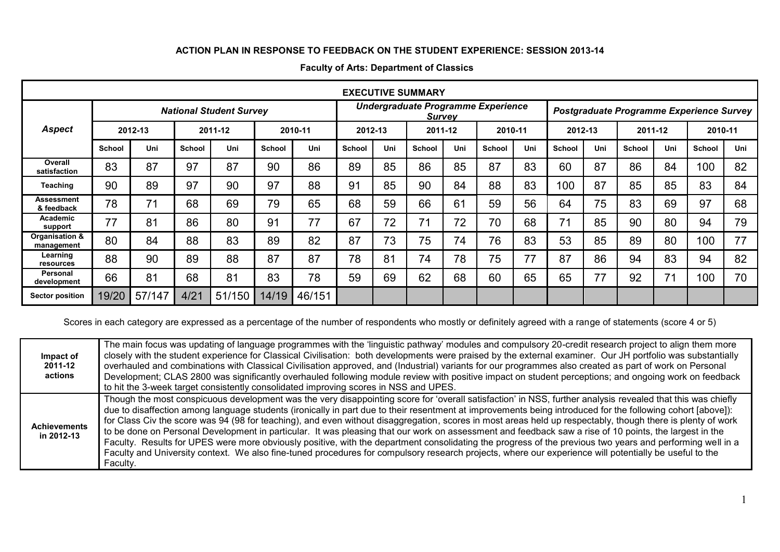## **ACTION PLAN IN RESPONSE TO FEEDBACK ON THE STUDENT EXPERIENCE: SESSION 2013-14**

| <b>EXECUTIVE SUMMARY</b>     |                                |        |               |        |               |                                                     |               |     |               |     |                                          |     |               |     |               |     |         |     |
|------------------------------|--------------------------------|--------|---------------|--------|---------------|-----------------------------------------------------|---------------|-----|---------------|-----|------------------------------------------|-----|---------------|-----|---------------|-----|---------|-----|
|                              | <b>National Student Survey</b> |        |               |        |               | Undergraduate Programme Experience<br><b>Survey</b> |               |     |               |     | Postgraduate Programme Experience Survey |     |               |     |               |     |         |     |
| <b>Aspect</b>                | 2012-13                        |        | 2011-12       |        | 2010-11       |                                                     | 2012-13       |     | 2011-12       |     | 2010-11                                  |     | 2012-13       |     | 2011-12       |     | 2010-11 |     |
|                              | <b>School</b>                  | Uni    | <b>School</b> | Uni    | <b>School</b> | Uni                                                 | <b>School</b> | Uni | <b>School</b> | Uni | <b>School</b>                            | Uni | <b>School</b> | Uni | <b>School</b> | Uni | School  | Uni |
| Overall<br>satisfaction      | 83                             | 87     | 97            | 87     | 90            | 86                                                  | 89            | 85  | 86            | 85  | 87                                       | 83  | 60            | 87  | 86            | 84  | 100     | 82  |
| <b>Teaching</b>              | 90                             | 89     | 97            | 90     | 97            | 88                                                  | 91            | 85  | 90            | 84  | 88                                       | 83  | 100           | 87  | 85            | 85  | 83      | 84  |
| Assessment<br>& feedback     | 78                             | 71     | 68            | 69     | 79            | 65                                                  | 68            | 59  | 66            | 61  | 59                                       | 56  | 64            | 75  | 83            | 69  | 97      | 68  |
| Academic<br>support          | 77                             | 81     | 86            | 80     | 91            | 77                                                  | 67            | 72  | 71            | 72  | 70                                       | 68  | 71            | 85  | 90            | 80  | 94      | 79  |
| Organisation &<br>management | 80                             | 84     | 88            | 83     | 89            | 82                                                  | 87            | 73  | 75            | 74  | 76                                       | 83  | 53            | 85  | 89            | 80  | 100     | 77  |
| Learning<br>resources        | 88                             | 90     | 89            | 88     | 87            | 87                                                  | 78            | 81  | 74            | 78  | 75                                       | 77  | 87            | 86  | 94            | 83  | 94      | 82  |
| Personal<br>development      | 66                             | 81     | 68            | 81     | 83            | 78                                                  | 59            | 69  | 62            | 68  | 60                                       | 65  | 65            | 77  | 92            | 71  | 100     | 70  |
| <b>Sector position</b>       | 19/20                          | 57/147 | 4/21          | 51/150 | 14/19         | 46/151                                              |               |     |               |     |                                          |     |               |     |               |     |         |     |

## **Faculty of Arts: Department of Classics**

Scores in each category are expressed as a percentage of the number of respondents who mostly or definitely agreed with a range of statements (score 4 or 5)

| Impact of<br>2011-12<br>actions   | The main focus was updating of language programmes with the 'linguistic pathway' modules and compulsory 20-credit research project to align them more<br>closely with the student experience for Classical Civilisation: both developments were praised by the external examiner. Our JH portfolio was substantially<br>overhauled and combinations with Classical Civilisation approved, and (Industrial) variants for our programmes also created as part of work on Personal<br>Development; CLAS 2800 was significantly overhauled following module review with positive impact on student perceptions; and ongoing work on feedback<br>to hit the 3-week target consistently consolidated improving scores in NSS and UPES.                                                                                                                                                                                                                                                       |
|-----------------------------------|----------------------------------------------------------------------------------------------------------------------------------------------------------------------------------------------------------------------------------------------------------------------------------------------------------------------------------------------------------------------------------------------------------------------------------------------------------------------------------------------------------------------------------------------------------------------------------------------------------------------------------------------------------------------------------------------------------------------------------------------------------------------------------------------------------------------------------------------------------------------------------------------------------------------------------------------------------------------------------------|
| <b>Achievements</b><br>in 2012-13 | Though the most conspicuous development was the very disappointing score for 'overall satisfaction' in NSS, further analysis revealed that this was chiefly<br>due to disaffection among language students (ironically in part due to their resentment at improvements being introduced for the following cohort [above]):<br>for Class Civ the score was 94 (98 for teaching), and even without disaggregation, scores in most areas held up respectably, though there is plenty of work<br>to be done on Personal Development in particular. It was pleasing that our work on assessment and feedback saw a rise of 10 points, the largest in the<br>Faculty. Results for UPES were more obviously positive, with the department consolidating the progress of the previous two years and performing well in a<br>Faculty and University context. We also fine-tuned procedures for compulsory research projects, where our experience will potentially be useful to the<br>Faculty. |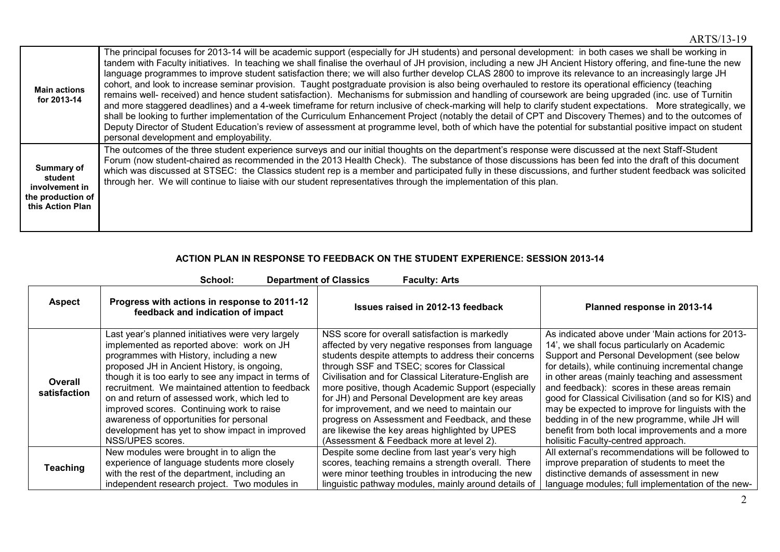| <b>Main actions</b><br>for 2013-14                                               | The principal focuses for 2013-14 will be academic support (especially for JH students) and personal development: in both cases we shall be working in<br>tandem with Faculty initiatives. In teaching we shall finalise the overhaul of JH provision, including a new JH Ancient History offering, and fine-tune the new<br>language programmes to improve student satisfaction there; we will also further develop CLAS 2800 to improve its relevance to an increasingly large JH<br>cohort, and look to increase seminar provision. Taught postgraduate provision is also being overhauled to restore its operational efficiency (teaching<br>remains well- received) and hence student satisfaction). Mechanisms for submission and handling of coursework are being upgraded (inc. use of Turnitin<br>and more staggered deadlines) and a 4-week timeframe for return inclusive of check-marking will help to clarify student expectations. More strategically, we<br>shall be looking to further implementation of the Curriculum Enhancement Project (notably the detail of CPT and Discovery Themes) and to the outcomes of<br>Deputy Director of Student Education's review of assessment at programme level, both of which have the potential for substantial positive impact on student<br>personal development and employability. |
|----------------------------------------------------------------------------------|-----------------------------------------------------------------------------------------------------------------------------------------------------------------------------------------------------------------------------------------------------------------------------------------------------------------------------------------------------------------------------------------------------------------------------------------------------------------------------------------------------------------------------------------------------------------------------------------------------------------------------------------------------------------------------------------------------------------------------------------------------------------------------------------------------------------------------------------------------------------------------------------------------------------------------------------------------------------------------------------------------------------------------------------------------------------------------------------------------------------------------------------------------------------------------------------------------------------------------------------------------------------------------------------------------------------------------------------------|
| Summary of<br>student<br>involvement in<br>the production of<br>this Action Plan | The outcomes of the three student experience surveys and our initial thoughts on the department's response were discussed at the next Staff-Student<br>Forum (now student-chaired as recommended in the 2013 Health Check). The substance of those discussions has been fed into the draft of this document<br>which was discussed at STSEC: the Classics student rep is a member and participated fully in these discussions, and further student feedback was solicited<br>through her. We will continue to liaise with our student representatives through the implementation of this plan.                                                                                                                                                                                                                                                                                                                                                                                                                                                                                                                                                                                                                                                                                                                                                |

## **ACTION PLAN IN RESPONSE TO FEEDBACK ON THE STUDENT EXPERIENCE: SESSION 2013-14**

| <b>Department of Classics</b><br>School:<br><b>Faculty: Arts</b> |                                                                                                                                                                                                                                                                                                                                                                                                                                                                                                                     |                                                                                                                                                                                                                                                                                                                                                                                                                                                                                                                                                                           |                                                                                                                                                                                                                                                                                                                                                                                                                                                                                                                                                                |  |  |  |  |  |
|------------------------------------------------------------------|---------------------------------------------------------------------------------------------------------------------------------------------------------------------------------------------------------------------------------------------------------------------------------------------------------------------------------------------------------------------------------------------------------------------------------------------------------------------------------------------------------------------|---------------------------------------------------------------------------------------------------------------------------------------------------------------------------------------------------------------------------------------------------------------------------------------------------------------------------------------------------------------------------------------------------------------------------------------------------------------------------------------------------------------------------------------------------------------------------|----------------------------------------------------------------------------------------------------------------------------------------------------------------------------------------------------------------------------------------------------------------------------------------------------------------------------------------------------------------------------------------------------------------------------------------------------------------------------------------------------------------------------------------------------------------|--|--|--|--|--|
| <b>Aspect</b>                                                    | Progress with actions in response to 2011-12<br>feedback and indication of impact                                                                                                                                                                                                                                                                                                                                                                                                                                   | Issues raised in 2012-13 feedback                                                                                                                                                                                                                                                                                                                                                                                                                                                                                                                                         | Planned response in 2013-14                                                                                                                                                                                                                                                                                                                                                                                                                                                                                                                                    |  |  |  |  |  |
| Overall<br>satisfaction                                          | Last year's planned initiatives were very largely<br>implemented as reported above: work on JH<br>programmes with History, including a new<br>proposed JH in Ancient History, is ongoing,<br>though it is too early to see any impact in terms of<br>recruitment. We maintained attention to feedback<br>on and return of assessed work, which led to<br>improved scores. Continuing work to raise<br>awareness of opportunities for personal<br>development has yet to show impact in improved<br>NSS/UPES scores. | NSS score for overall satisfaction is markedly<br>affected by very negative responses from language<br>students despite attempts to address their concerns<br>through SSF and TSEC; scores for Classical<br>Civilisation and for Classical Literature-English are<br>more positive, though Academic Support (especially<br>for JH) and Personal Development are key areas<br>for improvement, and we need to maintain our<br>progress on Assessment and Feedback, and these<br>are likewise the key areas highlighted by UPES<br>(Assessment & Feedback more at level 2). | As indicated above under 'Main actions for 2013-<br>14', we shall focus particularly on Academic<br>Support and Personal Development (see below<br>for details), while continuing incremental change<br>in other areas (mainly teaching and assessment<br>and feedback): scores in these areas remain<br>good for Classical Civilisation (and so for KIS) and<br>may be expected to improve for linguists with the<br>bedding in of the new programme, while JH will<br>benefit from both local improvements and a more<br>holisitic Faculty-centred approach. |  |  |  |  |  |
| <b>Teaching</b>                                                  | New modules were brought in to align the<br>experience of language students more closely<br>with the rest of the department, including an<br>independent research project. Two modules in                                                                                                                                                                                                                                                                                                                           | Despite some decline from last year's very high<br>scores, teaching remains a strength overall. There<br>were minor teething troubles in introducing the new<br>linguistic pathway modules, mainly around details of                                                                                                                                                                                                                                                                                                                                                      | All external's recommendations will be followed to<br>improve preparation of students to meet the<br>distinctive demands of assessment in new<br>language modules; full implementation of the new-                                                                                                                                                                                                                                                                                                                                                             |  |  |  |  |  |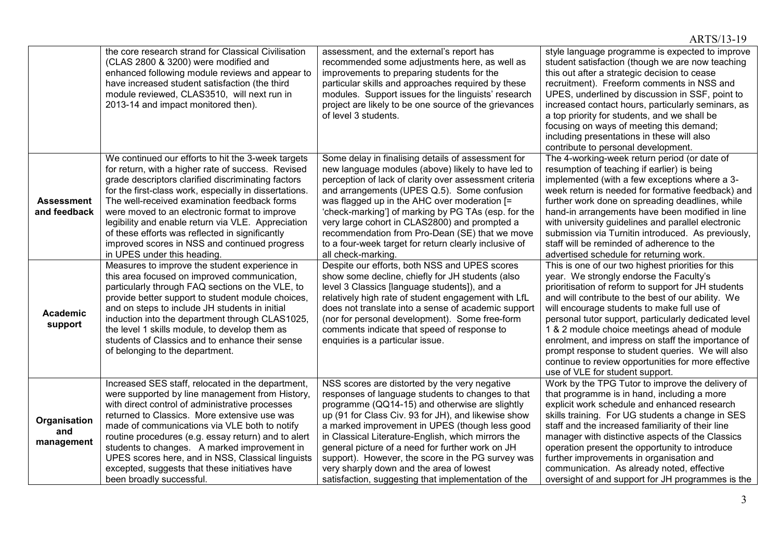|                                   |                                                                                                                                                                                                                                                                                                                                                                                                                                                                                                                    |                                                                                                                                                                                                                                                                                                                                                                                                                                                                                                                                 | ARTS/13-19                                                                                                                                                                                                                                                                                                                                                                                                                                                                                                                                                           |
|-----------------------------------|--------------------------------------------------------------------------------------------------------------------------------------------------------------------------------------------------------------------------------------------------------------------------------------------------------------------------------------------------------------------------------------------------------------------------------------------------------------------------------------------------------------------|---------------------------------------------------------------------------------------------------------------------------------------------------------------------------------------------------------------------------------------------------------------------------------------------------------------------------------------------------------------------------------------------------------------------------------------------------------------------------------------------------------------------------------|----------------------------------------------------------------------------------------------------------------------------------------------------------------------------------------------------------------------------------------------------------------------------------------------------------------------------------------------------------------------------------------------------------------------------------------------------------------------------------------------------------------------------------------------------------------------|
|                                   | the core research strand for Classical Civilisation<br>(CLAS 2800 & 3200) were modified and<br>enhanced following module reviews and appear to<br>have increased student satisfaction (the third<br>module reviewed, CLAS3510, will next run in<br>2013-14 and impact monitored then).                                                                                                                                                                                                                             | assessment, and the external's report has<br>recommended some adjustments here, as well as<br>improvements to preparing students for the<br>particular skills and approaches required by these<br>modules. Support issues for the linguists' research<br>project are likely to be one source of the grievances<br>of level 3 students.                                                                                                                                                                                          | style language programme is expected to improve<br>student satisfaction (though we are now teaching<br>this out after a strategic decision to cease<br>recruitment). Freeform comments in NSS and<br>UPES, underlined by discussion in SSF, point to<br>increased contact hours, particularly seminars, as<br>a top priority for students, and we shall be<br>focusing on ways of meeting this demand;<br>including presentations in these will also<br>contribute to personal development.                                                                          |
| <b>Assessment</b><br>and feedback | We continued our efforts to hit the 3-week targets<br>for return, with a higher rate of success. Revised<br>grade descriptors clarified discriminating factors<br>for the first-class work, especially in dissertations.<br>The well-received examination feedback forms<br>were moved to an electronic format to improve<br>legibility and enable return via VLE. Appreciation<br>of these efforts was reflected in significantly<br>improved scores in NSS and continued progress<br>in UPES under this heading. | Some delay in finalising details of assessment for<br>new language modules (above) likely to have led to<br>perception of lack of clarity over assessment criteria<br>and arrangements (UPES Q.5). Some confusion<br>was flagged up in the AHC over moderation [=<br>'check-marking'] of marking by PG TAs (esp. for the<br>very large cohort in CLAS2800) and prompted a<br>recommendation from Pro-Dean (SE) that we move<br>to a four-week target for return clearly inclusive of<br>all check-marking.                      | The 4-working-week return period (or date of<br>resumption of teaching if earlier) is being<br>implemented (with a few exceptions where a 3-<br>week return is needed for formative feedback) and<br>further work done on spreading deadlines, while<br>hand-in arrangements have been modified in line<br>with university guidelines and parallel electronic<br>submission via Turnitin introduced. As previously,<br>staff will be reminded of adherence to the<br>advertised schedule for returning work.                                                         |
| Academic<br>support               | Measures to improve the student experience in<br>this area focused on improved communication,<br>particularly through FAQ sections on the VLE, to<br>provide better support to student module choices,<br>and on steps to include JH students in initial<br>induction into the department through CLAS1025.<br>the level 1 skills module, to develop them as<br>students of Classics and to enhance their sense<br>of belonging to the department.                                                                 | Despite our efforts, both NSS and UPES scores<br>show some decline, chiefly for JH students (also<br>level 3 Classics [language students]), and a<br>relatively high rate of student engagement with LfL<br>does not translate into a sense of academic support<br>(nor for personal development). Some free-form<br>comments indicate that speed of response to<br>enquiries is a particular issue.                                                                                                                            | This is one of our two highest priorities for this<br>year. We strongly endorse the Faculty's<br>prioritisation of reform to support for JH students<br>and will contribute to the best of our ability. We<br>will encourage students to make full use of<br>personal tutor support, particularly dedicated level<br>1 & 2 module choice meetings ahead of module<br>enrolment, and impress on staff the importance of<br>prompt response to student queries. We will also<br>continue to review opportunities for more effective<br>use of VLE for student support. |
| Organisation<br>and<br>management | Increased SES staff, relocated in the department,<br>were supported by line management from History,<br>with direct control of administrative processes<br>returned to Classics. More extensive use was<br>made of communications via VLE both to notify<br>routine procedures (e.g. essay return) and to alert<br>students to changes. A marked improvement in<br>UPES scores here, and in NSS, Classical linguists<br>excepted, suggests that these initiatives have<br>been broadly successful.                 | NSS scores are distorted by the very negative<br>responses of language students to changes to that<br>programme (QQ14-15) and otherwise are slightly<br>up (91 for Class Civ. 93 for JH), and likewise show<br>a marked improvement in UPES (though less good<br>in Classical Literature-English, which mirrors the<br>general picture of a need for further work on JH<br>support). However, the score in the PG survey was<br>very sharply down and the area of lowest<br>satisfaction, suggesting that implementation of the | Work by the TPG Tutor to improve the delivery of<br>that programme is in hand, including a more<br>explicit work schedule and enhanced research<br>skills training. For UG students a change in SES<br>staff and the increased familiarity of their line<br>manager with distinctive aspects of the Classics<br>operation present the opportunity to introduce<br>further improvements in organisation and<br>communication. As already noted, effective<br>oversight of and support for JH programmes is the                                                        |